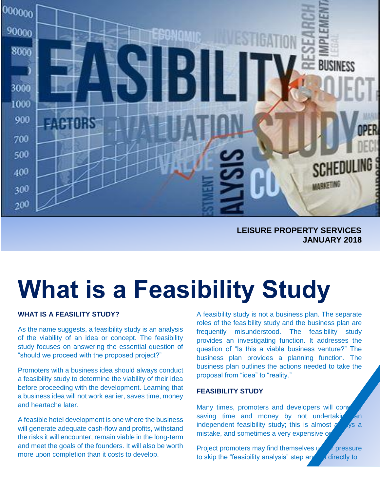

 **LEISURE PROPERTY SERVICES JANUARY 2018**

# **What is a Feasibility Study**

# **WHAT IS A FEASILITY STUDY?**

As the name suggests, a feasibility study is an analysis of the viability of an idea or concept. The feasibility study focuses on answering the essential question of "should we proceed with the proposed project?"

Promoters with a business idea should always conduct a feasibility study to determine the viability of their idea before proceeding with the development. Learning that a business idea will not work earlier, saves time, money and heartache later.

A feasible hotel development is one where the business will generate adequate cash-flow and profits, withstand the risks it will encounter, remain viable in the long-term and meet the goals of the founders. It will also be worth more upon completion than it costs to develop.

A feasibility study is not a business plan. The separate roles of the feasibility study and the business plan are frequently misunderstood. The feasibility study provides an investigating function. It addresses the question of "Is this a viable business venture?" The business plan provides a planning function. The business plan outlines the actions needed to take the proposal from "idea" to "reality."

#### **FEASIBILITY STUDY**

Many times, promoters and developers will consider saving time and money by not undertaking an independent feasibility study; this is almost  $\alpha$  ys a mistake, and sometimes a very expensive or

Project promoters may find themselves under pressure to skip the "feasibility analysis" step and go directly to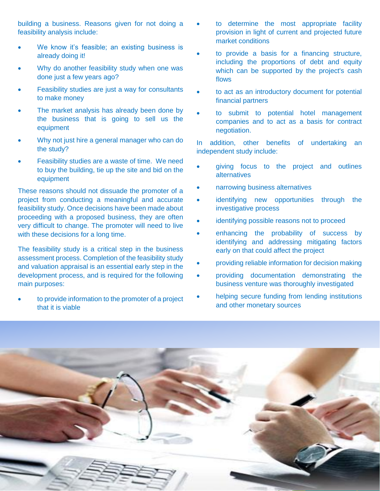building a business. Reasons given for not doing a feasibility analysis include:

- We know it's feasible; an existing business is already doing it!
- Why do another feasibility study when one was done just a few years ago?
- Feasibility studies are just a way for consultants to make money
- The market analysis has already been done by the business that is going to sell us the equipment
- Why not just hire a general manager who can do the study?
- Feasibility studies are a waste of time. We need to buy the building, tie up the site and bid on the equipment

These reasons should not dissuade the promoter of a project from conducting a meaningful and accurate feasibility study. Once decisions have been made about proceeding with a proposed business, they are often very difficult to change. The promoter will need to live with these decisions for a long time.

The feasibility study is a critical step in the business assessment process. Completion of the feasibility study and valuation appraisal is an essential early step in the development process, and is required for the following main purposes:

• to provide information to the promoter of a project that it is viable

- to determine the most appropriate facility provision in light of current and projected future market conditions
- to provide a basis for a financing structure, including the proportions of debt and equity which can be supported by the project's cash flows
- to act as an introductory document for potential financial partners
- to submit to potential hotel management companies and to act as a basis for contract negotiation.

In addition, other benefits of undertaking an independent study include:

- giving focus to the project and outlines alternatives
- narrowing business alternatives
- identifying new opportunities through the investigative process
- identifying possible reasons not to proceed
- enhancing the probability of success by identifying and addressing mitigating factors early on that could affect the project
- providing reliable information for decision making
- providing documentation demonstrating the business venture was thoroughly investigated
- helping secure funding from lending institutions and other monetary sources

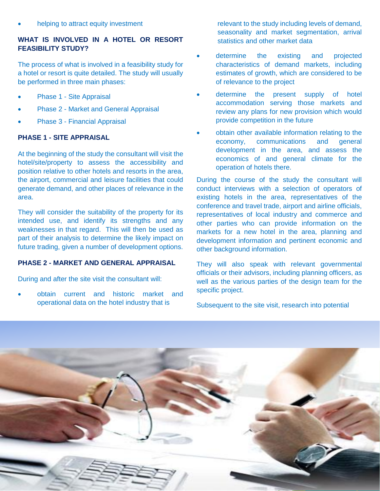# **WHAT IS INVOLVED IN A HOTEL OR RESORT FEASIBILITY STUDY?**

The process of what is involved in a feasibility study for a hotel or resort is quite detailed. The study will usually be performed in three main phases:

- Phase 1 Site Appraisal
- Phase 2 Market and General Appraisal
- Phase 3 Financial Appraisal

# **PHASE 1 - SITE APPRAISAL**

At the beginning of the study the consultant will visit the hotel/site/property to assess the accessibility and position relative to other hotels and resorts in the area, the airport, commercial and leisure facilities that could generate demand, and other places of relevance in the area.

They will consider the suitability of the property for its intended use, and identify its strengths and any weaknesses in that regard. This will then be used as part of their analysis to determine the likely impact on future trading, given a number of development options.

## **PHASE 2 - MARKET AND GENERAL APPRAISAL**

During and after the site visit the consultant will:

• obtain current and historic market and operational data on the hotel industry that is

relevant to the study including levels of demand, seasonality and market segmentation, arrival statistics and other market data

- determine the existing and projected characteristics of demand markets, including estimates of growth, which are considered to be of relevance to the project
- determine the present supply of hotel accommodation serving those markets and review any plans for new provision which would provide competition in the future
- obtain other available information relating to the economy, communications and general development in the area, and assess the economics of and general climate for the operation of hotels there.

During the course of the study the consultant will conduct interviews with a selection of operators of existing hotels in the area, representatives of the conference and travel trade, airport and airline officials, representatives of local industry and commerce and other parties who can provide information on the markets for a new hotel in the area, planning and development information and pertinent economic and other background information.

They will also speak with relevant governmental officials or their advisors, including planning officers, as well as the various parties of the design team for the specific project.

Subsequent to the site visit, research into potential